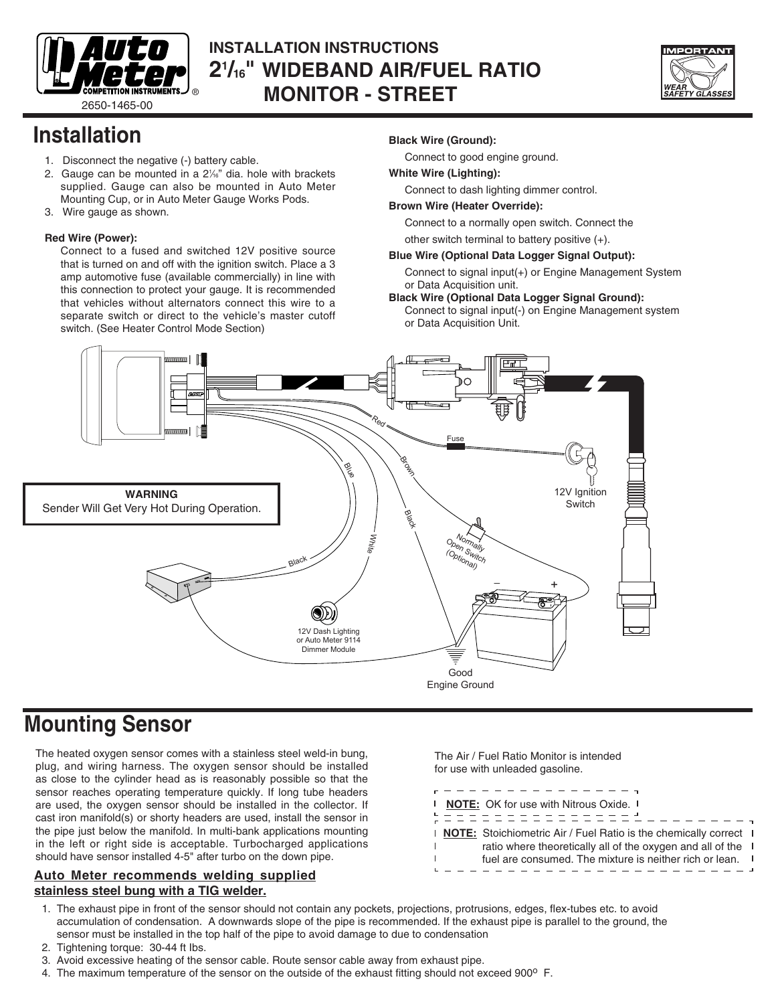

## **INSTALLATION INSTRUCTIONS 21 /16 " WIDEBAND air/fuel ratio MONITOR - STREET**



## **Installation**

- 1. Disconnect the negative (-) battery cable.
- 2. Gauge can be mounted in a 2<sup>1/6</sup> dia. hole with brackets supplied. Gauge can also be mounted in Auto Meter Mounting Cup, or in Auto Meter Gauge Works Pods.
- 3. Wire gauge as shown.

### **Red Wire (Power):**

Connect to a fused and switched 12V positive source that is turned on and off with the ignition switch. Place a 3 amp automotive fuse (available commercially) in line with this connection to protect your gauge. It is recommended that vehicles without alternators connect this wire to a separate switch or direct to the vehicle's master cutoff switch. (See Heater Control Mode Section)

## **Black Wire (Ground):**

Connect to good engine ground.

### **White Wire (Lighting):**

Connect to dash lighting dimmer control.

### **Brown Wire (Heater Override):**

Connect to a normally open switch. Connect the

other switch terminal to battery positive (+).

### **Blue Wire (Optional Data Logger Signal Output):**

Connect to signal input(+) or Engine Management System or Data Acquisition unit.

### **Black Wire (Optional Data Logger Signal Ground):**

Connect to signal input(-) on Engine Management system or Data Acquisition Unit.



## **Mounting Sensor**

The heated oxygen sensor comes with a stainless steel weld-in bung, plug, and wiring harness. The oxygen sensor should be installed as close to the cylinder head as is reasonably possible so that the sensor reaches operating temperature quickly. If long tube headers are used, the oxygen sensor should be installed in the collector. If cast iron manifold(s) or shorty headers are used, install the sensor in the pipe just below the manifold. In multi-bank applications mounting in the left or right side is acceptable. Turbocharged applications should have sensor installed 4-5" after turbo on the down pipe.

## **Auto Meter recommends welding supplied stainless steel bung with a TIG welder.**

The Air / Fuel Ratio Monitor is intended for use with unleaded gasoline.

**NOTE:** OK for use with Nitrous Oxide. <u>titititititititi</u> **NOTE:** Stoichiometric Air / Fuel Ratio is the chemically correct I L ratio where theoretically all of the oxygen and all of the fuel are consumed. The mixture is neither rich or lean.

- 1. The exhaust pipe in front of the sensor should not contain any pockets, projections, protrusions, edges, flex-tubes etc. to avoid accumulation of condensation. A downwards slope of the pipe is recommended. If the exhaust pipe is parallel to the ground, the sensor must be installed in the top half of the pipe to avoid damage to due to condensation
- 2. Tightening torque: 30-44 ft Ibs.
- 3. Avoid excessive heating of the sensor cable. Route sensor cable away from exhaust pipe.
- 4. The maximum temperature of the sensor on the outside of the exhaust fitting should not exceed 900<sup>o</sup> F.